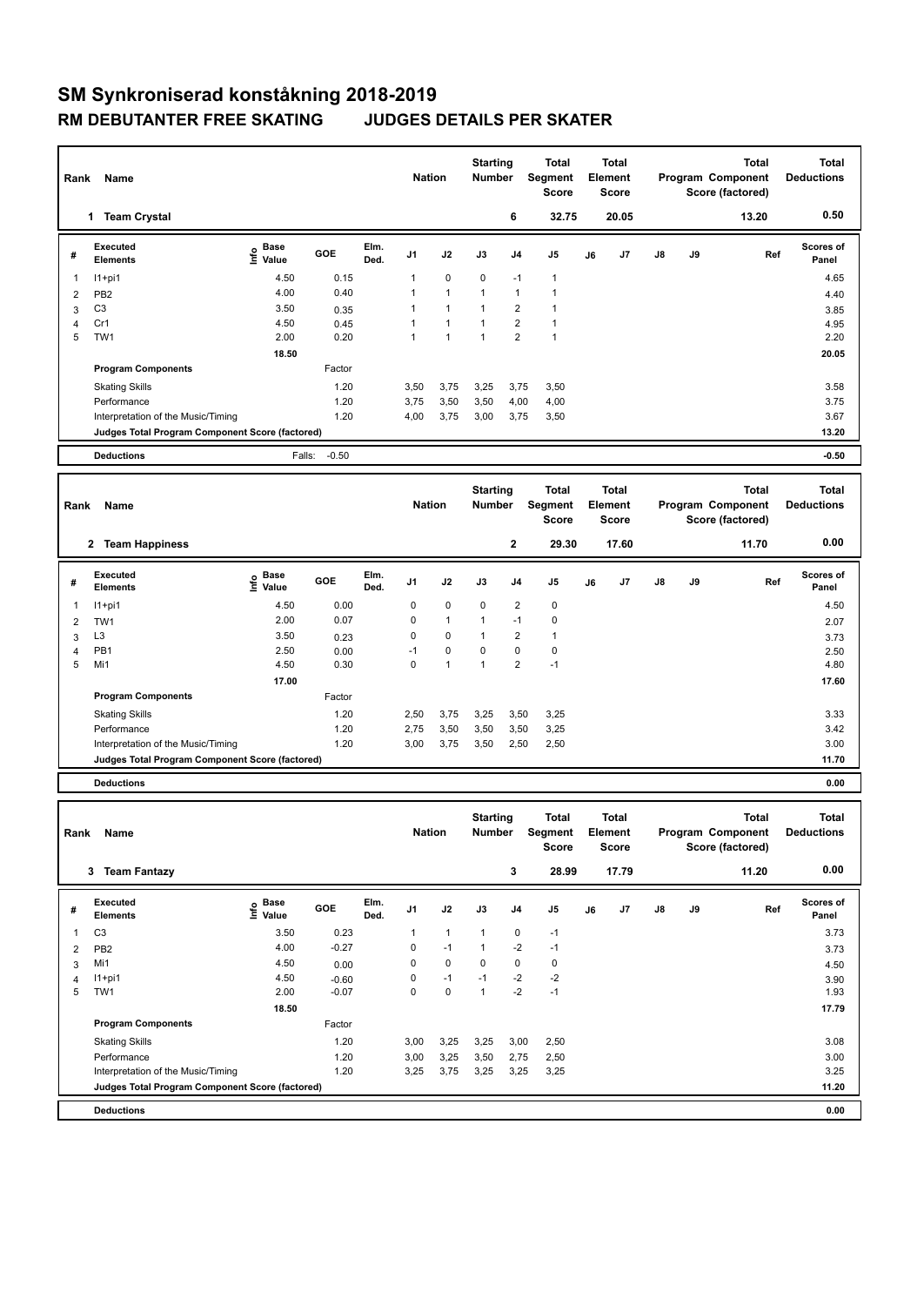## **SM Synkroniserad konståkning 2018-2019 RM DEBUTANTER FREE SKATING JUDGES DETAILS PER SKATER**

| Rank                    | Name                                            |                           |         |              | <b>Nation</b> |                      | <b>Starting</b><br><b>Number</b> |                         | <b>Total</b><br>Segment<br>Score        |    | <b>Total</b><br>Element<br><b>Score</b> |    |    | <b>Total</b><br>Program Component<br>Score (factored) | <b>Total</b><br><b>Deductions</b> |
|-------------------------|-------------------------------------------------|---------------------------|---------|--------------|---------------|----------------------|----------------------------------|-------------------------|-----------------------------------------|----|-----------------------------------------|----|----|-------------------------------------------------------|-----------------------------------|
|                         | 1 Team Crystal                                  |                           |         |              |               |                      |                                  | 6                       | 32.75                                   |    | 20.05                                   |    |    | 13.20                                                 | 0.50                              |
| #                       | <b>Executed</b><br><b>Elements</b>              | e Base<br>⊆ Value         | GOE     | Elm.<br>Ded. | J1            | J2                   | J3                               | J4                      | J <sub>5</sub>                          | J6 | J7                                      | J8 | J9 | Ref                                                   | <b>Scores of</b><br>Panel         |
| 1                       | $11+pi1$                                        | 4.50                      | 0.15    |              | 1             | 0                    | 0                                | $-1$                    | -1                                      |    |                                         |    |    |                                                       | 4.65                              |
| $\overline{2}$          | PB <sub>2</sub>                                 | 4.00                      | 0.40    |              | 1             | $\mathbf{1}$         | 1                                | 1                       | $\mathbf{1}$                            |    |                                         |    |    |                                                       | 4.40                              |
| 3                       | C <sub>3</sub>                                  | 3.50                      | 0.35    |              | 1             | $\mathbf{1}$         | 1                                | 2                       | $\mathbf{1}$                            |    |                                         |    |    |                                                       | 3.85                              |
| 4                       | Cr1                                             | 4.50                      | 0.45    |              | 1             | $\mathbf{1}$         | 1                                | $\overline{\mathbf{c}}$ | $\mathbf{1}$                            |    |                                         |    |    |                                                       | 4.95                              |
| 5                       | TW1                                             | 2.00                      | 0.20    |              | $\mathbf{1}$  | 1                    | $\mathbf{1}$                     | 2                       | $\mathbf{1}$                            |    |                                         |    |    |                                                       | 2.20                              |
|                         |                                                 | 18.50                     |         |              |               |                      |                                  |                         |                                         |    |                                         |    |    |                                                       | 20.05                             |
|                         | <b>Program Components</b>                       |                           | Factor  |              |               |                      |                                  |                         |                                         |    |                                         |    |    |                                                       |                                   |
|                         | <b>Skating Skills</b>                           |                           | 1.20    |              | 3,50          | 3,75                 | 3,25                             | 3,75                    | 3,50                                    |    |                                         |    |    |                                                       | 3.58                              |
|                         | Performance                                     |                           | 1.20    |              | 3,75          |                      |                                  |                         |                                         |    |                                         |    |    |                                                       | 3.75                              |
|                         |                                                 |                           |         |              |               | 3,50                 | 3,50                             | 4,00                    | 4,00                                    |    |                                         |    |    |                                                       |                                   |
|                         | Interpretation of the Music/Timing              |                           | 1.20    |              | 4,00          | 3,75                 | 3,00                             | 3,75                    | 3,50                                    |    |                                         |    |    |                                                       | 3.67                              |
|                         | Judges Total Program Component Score (factored) |                           |         |              |               |                      |                                  |                         |                                         |    |                                         |    |    |                                                       | 13.20                             |
|                         | <b>Deductions</b>                               | Falls:                    | $-0.50$ |              |               |                      |                                  |                         |                                         |    |                                         |    |    |                                                       | $-0.50$                           |
|                         |                                                 |                           |         |              |               |                      |                                  |                         |                                         |    |                                         |    |    |                                                       |                                   |
|                         |                                                 |                           |         |              |               |                      | <b>Starting</b>                  |                         | <b>Total</b>                            |    | <b>Total</b>                            |    |    | <b>Total</b>                                          | <b>Total</b>                      |
| Rank                    | Name                                            |                           |         |              | <b>Nation</b> |                      | <b>Number</b>                    |                         | Segment                                 |    | Element                                 |    |    | Program Component                                     | <b>Deductions</b>                 |
|                         |                                                 |                           |         |              |               |                      |                                  |                         | <b>Score</b>                            |    | Score                                   |    |    | Score (factored)                                      |                                   |
|                         | 2 Team Happiness                                |                           |         |              |               |                      |                                  | $\mathbf 2$             | 29.30                                   |    | 17.60                                   |    |    | 11.70                                                 | 0.00                              |
|                         |                                                 |                           |         |              |               |                      |                                  |                         |                                         |    |                                         |    |    |                                                       |                                   |
| #                       | <b>Executed</b><br><b>Elements</b>              | Base<br>e Base<br>⊆ Value | GOE     | Elm.<br>Ded. | J1            | J2                   | J3                               | J4                      | J <sub>5</sub>                          | J6 | J7                                      | J8 | J9 | Ref                                                   | Scores of<br>Panel                |
| 1                       | $11+pi1$                                        | 4.50                      | 0.00    |              | 0             | 0                    | 0                                | 2                       | 0                                       |    |                                         |    |    |                                                       | 4.50                              |
| 2                       | TW1                                             | 2.00                      | 0.07    |              | 0             | $\mathbf{1}$         | 1                                | $-1$                    | 0                                       |    |                                         |    |    |                                                       | 2.07                              |
| 3                       | L <sub>3</sub>                                  | 3.50                      | 0.23    |              | 0             | 0                    | 1                                | 2                       | $\mathbf{1}$                            |    |                                         |    |    |                                                       | 3.73                              |
| 4                       | PB <sub>1</sub>                                 | 2.50                      | 0.00    |              | $-1$          | 0                    | 0                                | 0                       | $\mathbf 0$                             |    |                                         |    |    |                                                       | 2.50                              |
| 5                       | Mi1                                             | 4.50                      | 0.30    |              | 0             | $\mathbf{1}$         | $\mathbf{1}$                     | $\overline{\mathbf{c}}$ | $-1$                                    |    |                                         |    |    |                                                       | 4.80                              |
|                         |                                                 | 17.00                     |         |              |               |                      |                                  |                         |                                         |    |                                         |    |    |                                                       | 17.60                             |
|                         | <b>Program Components</b>                       |                           | Factor  |              |               |                      |                                  |                         |                                         |    |                                         |    |    |                                                       |                                   |
|                         |                                                 |                           |         |              |               |                      |                                  |                         |                                         |    |                                         |    |    |                                                       |                                   |
|                         | <b>Skating Skills</b>                           |                           | 1.20    |              | 2,50          | 3,75                 | 3,25                             | 3,50                    | 3,25                                    |    |                                         |    |    |                                                       | 3.33                              |
|                         | Performance                                     |                           | 1.20    |              | 2,75          | 3,50                 | 3,50                             | 3,50                    | 3,25                                    |    |                                         |    |    |                                                       | 3.42                              |
|                         | Interpretation of the Music/Timing              |                           | 1.20    |              | 3,00          | 3,75                 | 3,50                             | 2,50                    | 2,50                                    |    |                                         |    |    |                                                       | 3.00                              |
|                         | Judges Total Program Component Score (factored) |                           |         |              |               |                      |                                  |                         |                                         |    |                                         |    |    |                                                       | 11.70                             |
|                         | <b>Deductions</b>                               |                           |         |              |               |                      |                                  |                         |                                         |    |                                         |    |    |                                                       | 0.00                              |
| Rank                    | Name                                            |                           |         |              | <b>Nation</b> |                      | <b>Starting</b><br>Number        |                         | <b>Total</b><br>Segment<br><b>Score</b> |    | <b>Total</b><br>Element<br><b>Score</b> |    |    | <b>Total</b><br>Program Component<br>Score (factored) | <b>Total</b><br><b>Deductions</b> |
|                         | 3 Team Fantazy                                  |                           |         |              |               |                      |                                  | 3                       | 28.99                                   |    | 17.79                                   |    |    | 11.20                                                 | 0.00                              |
| #                       | Executed<br><b>Elements</b>                     | Base<br>e Base<br>⊆ Value | GOE     | Elm.<br>Ded. | J1            | J2                   | J3                               | J4                      | J5                                      | J6 | J7                                      | J8 | J9 | Ref                                                   | Scores of<br>Panel                |
|                         |                                                 |                           |         |              |               |                      |                                  |                         |                                         |    |                                         |    |    |                                                       |                                   |
| 1                       | C <sub>3</sub>                                  | 3.50                      | 0.23    |              | 1<br>0        | $\mathbf{1}$<br>$-1$ | 1<br>$\mathbf{1}$                | 0                       | $-1$                                    |    |                                         |    |    |                                                       | 3.73                              |
| $\overline{\mathbf{c}}$ | PB <sub>2</sub>                                 | 4.00                      | $-0.27$ |              |               |                      |                                  | $-2$                    | $-1$                                    |    |                                         |    |    |                                                       | 3.73                              |
| 3                       | Mi1                                             | 4.50                      | 0.00    |              | $\mathsf 0$   | $\pmb{0}$            | 0                                | 0                       | $\pmb{0}$                               |    |                                         |    |    |                                                       | 4.50                              |
| 4                       | $11+pi1$                                        | 4.50                      | $-0.60$ |              | 0             | $-1$                 | $-1$                             | $-2$                    | $-2$                                    |    |                                         |    |    |                                                       | 3.90                              |
| 5                       | TW1                                             | 2.00                      | $-0.07$ |              | $\mathsf 0$   | $\pmb{0}$            | $\mathbf{1}$                     | $-2$                    | $-1$                                    |    |                                         |    |    |                                                       | 1.93                              |
|                         |                                                 | 18.50                     |         |              |               |                      |                                  |                         |                                         |    |                                         |    |    |                                                       | 17.79                             |
|                         | <b>Program Components</b>                       |                           | Factor  |              |               |                      |                                  |                         |                                         |    |                                         |    |    |                                                       |                                   |
|                         | <b>Skating Skills</b>                           |                           | 1.20    |              | 3,00          | 3,25                 | 3,25                             | 3,00                    | 2,50                                    |    |                                         |    |    |                                                       | 3.08                              |
|                         | Performance                                     |                           | 1.20    |              | 3,00          | 3,25                 | 3,50                             | 2,75                    | 2,50                                    |    |                                         |    |    |                                                       | 3.00                              |

Interpretation of the Music/Timing 1.20 3,25 3,75 3,25 3,25 3,25 3,25 3,25 3,25 3,25

**Judges Total Program Component Score (factored) 11.20**

**Deductions 0.00**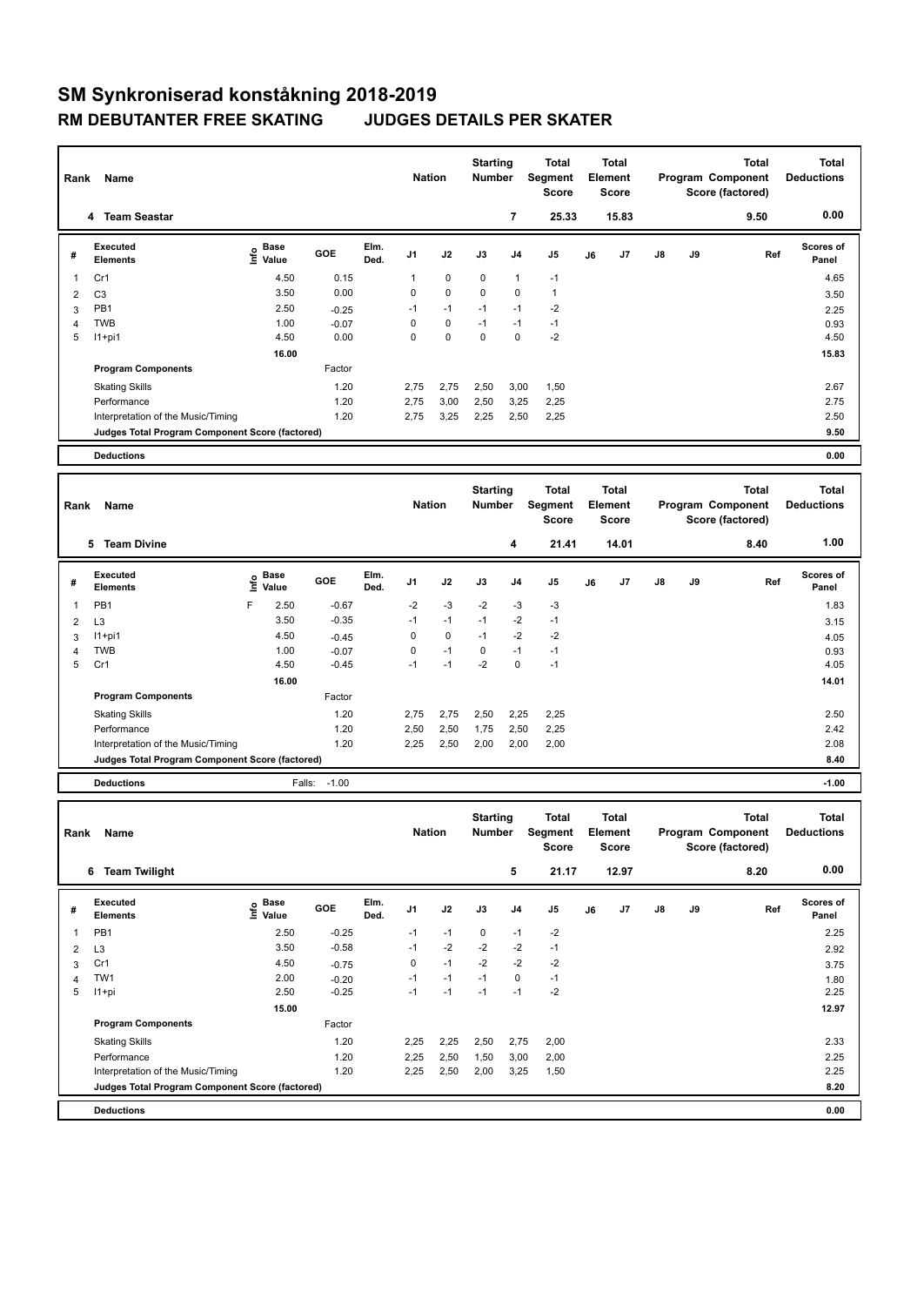## **SM Synkroniserad konståkning 2018-2019 RM DEBUTANTER FREE SKATING JUDGES DETAILS PER SKATER**

| Rank           | Name<br>4 Team Seastar                          |                           |                   |              | <b>Nation</b> |      | <b>Starting</b><br>Number        | $\overline{\phantom{a}}$ | Total<br><b>Segment</b><br><b>Score</b><br>25.33 |    | <b>Total</b><br><b>Element</b><br><b>Score</b><br>15.83 |    |    | <b>Total</b><br>Program Component<br>Score (factored)<br>9.50 | <b>Total</b><br><b>Deductions</b><br>0.00 |
|----------------|-------------------------------------------------|---------------------------|-------------------|--------------|---------------|------|----------------------------------|--------------------------|--------------------------------------------------|----|---------------------------------------------------------|----|----|---------------------------------------------------------------|-------------------------------------------|
|                |                                                 |                           |                   |              |               |      |                                  |                          |                                                  |    |                                                         |    |    |                                                               |                                           |
| #              | <b>Executed</b><br><b>Elements</b>              | e Base<br>⊆ Value         | GOE               | Elm.<br>Ded. | J1            | J2   | J3                               | J4                       | J5                                               | J6 | J7                                                      | J8 | J9 | Ref                                                           | <b>Scores of</b><br>Panel                 |
| 1              | Cr1                                             | 4.50                      | 0.15              |              | $\mathbf{1}$  | 0    | 0                                | 1                        | $-1$                                             |    |                                                         |    |    |                                                               | 4.65                                      |
| 2              | C <sub>3</sub>                                  | 3.50                      | 0.00              |              | 0             | 0    | 0                                | 0                        | $\mathbf{1}$                                     |    |                                                         |    |    |                                                               | 3.50                                      |
| 3              | PB <sub>1</sub>                                 | 2.50                      | $-0.25$           |              | $-1$          | $-1$ | $-1$                             | $-1$                     | $-2$                                             |    |                                                         |    |    |                                                               | 2.25                                      |
| 4              | <b>TWB</b>                                      | 1.00                      | $-0.07$           |              | 0             | 0    | $-1$                             | $-1$                     | $-1$                                             |    |                                                         |    |    |                                                               | 0.93                                      |
| 5              | $11+pi1$                                        | 4.50                      | 0.00              |              | $\mathbf 0$   | 0    | $\mathbf 0$                      | 0                        | $-2$                                             |    |                                                         |    |    |                                                               | 4.50                                      |
|                |                                                 | 16.00                     |                   |              |               |      |                                  |                          |                                                  |    |                                                         |    |    |                                                               | 15.83                                     |
|                | <b>Program Components</b>                       |                           | Factor            |              |               |      |                                  |                          |                                                  |    |                                                         |    |    |                                                               |                                           |
|                | <b>Skating Skills</b>                           |                           | 1.20              |              | 2,75          | 2,75 | 2,50                             | 3,00                     | 1,50                                             |    |                                                         |    |    |                                                               | 2.67                                      |
|                | Performance                                     |                           | 1.20              |              | 2,75          | 3,00 | 2,50                             | 3,25                     | 2,25                                             |    |                                                         |    |    |                                                               | 2.75                                      |
|                | Interpretation of the Music/Timing              |                           | 1.20              |              | 2,75          | 3,25 | 2,25                             | 2,50                     | 2,25                                             |    |                                                         |    |    |                                                               | 2.50                                      |
|                | Judges Total Program Component Score (factored) |                           |                   |              |               |      |                                  |                          |                                                  |    |                                                         |    |    |                                                               | 9.50                                      |
|                |                                                 |                           |                   |              |               |      |                                  |                          |                                                  |    |                                                         |    |    |                                                               |                                           |
|                | <b>Deductions</b>                               |                           |                   |              |               |      |                                  |                          |                                                  |    |                                                         |    |    |                                                               | 0.00                                      |
|                |                                                 |                           |                   |              |               |      |                                  |                          |                                                  |    |                                                         |    |    |                                                               |                                           |
| Rank           | Name                                            |                           |                   |              | <b>Nation</b> |      | <b>Starting</b><br><b>Number</b> |                          | <b>Total</b><br>Segment<br><b>Score</b>          |    | Total<br>Element<br><b>Score</b>                        |    |    | <b>Total</b><br>Program Component<br>Score (factored)         | <b>Total</b><br><b>Deductions</b>         |
|                | 5 Team Divine                                   |                           |                   |              |               |      |                                  | 4                        | 21.41                                            |    | 14.01                                                   |    |    | 8.40                                                          | 1.00                                      |
|                |                                                 |                           |                   |              |               |      |                                  |                          |                                                  |    |                                                         |    |    |                                                               |                                           |
|                |                                                 |                           |                   |              |               |      |                                  |                          |                                                  |    |                                                         |    |    |                                                               |                                           |
| #              | <b>Executed</b><br><b>Elements</b>              | Base<br>١nfo<br>Value     | GOE               | Elm.<br>Ded. | J1            | J2   | J3                               | J4                       | J5                                               | J6 | J7                                                      | J8 | J9 | Ref                                                           | <b>Scores of</b><br>Panel                 |
| 1              | PB <sub>1</sub>                                 | F<br>2.50                 | $-0.67$           |              | $-2$          | $-3$ | $-2$                             | $-3$                     | -3                                               |    |                                                         |    |    |                                                               | 1.83                                      |
| 2              | L <sub>3</sub>                                  | 3.50                      | $-0.35$           |              | $-1$          | $-1$ | $-1$                             | $-2$                     | $-1$                                             |    |                                                         |    |    |                                                               | 3.15                                      |
| 3              | $11+pi1$                                        | 4.50                      | $-0.45$           |              | 0             | 0    | $-1$                             | $-2$                     | -2                                               |    |                                                         |    |    |                                                               | 4.05                                      |
| $\overline{4}$ | <b>TWB</b>                                      | 1.00                      | $-0.07$           |              | $\mathsf 0$   | $-1$ | 0                                | $-1$                     | $-1$                                             |    |                                                         |    |    |                                                               | 0.93                                      |
| 5              | Cr1                                             | 4.50                      | $-0.45$           |              | $-1$          | $-1$ | $-2$                             | 0                        | $-1$                                             |    |                                                         |    |    |                                                               | 4.05                                      |
|                |                                                 | 16.00                     |                   |              |               |      |                                  |                          |                                                  |    |                                                         |    |    |                                                               | 14.01                                     |
|                | <b>Program Components</b>                       |                           | Factor            |              |               |      |                                  |                          |                                                  |    |                                                         |    |    |                                                               |                                           |
|                | <b>Skating Skills</b>                           |                           | 1.20              |              | 2,75          | 2,75 | 2,50                             | 2,25                     | 2,25                                             |    |                                                         |    |    |                                                               | 2.50                                      |
|                | Performance                                     |                           | 1.20              |              | 2,50          | 2,50 | 1,75                             | 2,50                     | 2,25                                             |    |                                                         |    |    |                                                               | 2.42                                      |
|                | Interpretation of the Music/Timing              |                           | 1.20              |              | 2,25          | 2,50 | 2,00                             | 2,00                     | 2,00                                             |    |                                                         |    |    |                                                               | 2.08                                      |
|                | Judges Total Program Component Score (factored) |                           |                   |              |               |      |                                  |                          |                                                  |    |                                                         |    |    |                                                               | 8.40                                      |
|                | <b>Deductions</b>                               |                           | $-1.00$<br>Falls: |              |               |      |                                  |                          |                                                  |    |                                                         |    |    |                                                               | $-1.00$                                   |
|                |                                                 |                           |                   |              |               |      |                                  |                          |                                                  |    |                                                         |    |    |                                                               |                                           |
|                |                                                 |                           |                   |              |               |      |                                  |                          |                                                  |    | <b>Total</b>                                            |    |    |                                                               |                                           |
| Rank           | Name                                            |                           |                   |              | <b>Nation</b> |      | <b>Starting</b><br>Number        |                          | <b>Total</b><br>Segment<br><b>Score</b>          |    | <b>Element</b><br><b>Score</b>                          |    |    | <b>Total</b><br>Program Component<br>Score (factored)         | <b>Total</b><br><b>Deductions</b>         |
|                | 6 Team Twilight                                 |                           |                   |              |               |      |                                  | 5                        | 21.17                                            |    | 12.97                                                   |    |    | 8.20                                                          | 0.00                                      |
| #              | Executed<br><b>Elements</b>                     | Base<br>e Base<br>⊆ Value | GOE               | Elm.<br>Ded. | J1            | J2   | J3                               | J4                       | J5                                               | J6 | J7                                                      | J8 | J9 | Ref                                                           | Scores of<br>Panel                        |
| 1              | PB1                                             | 2.50                      | $-0.25$           |              | $-1$          | $-1$ | 0                                | $-1$                     | $-2$                                             |    |                                                         |    |    |                                                               | 2.25                                      |

3 Cr1 4.50 -0.75 0 -1 -2 -2 -2 3.75 4 TW1 2.00 -0.20 -1 -1 -1 0 -1 1.80 5 I1+pi 2.50 -0.25 -1 -1 -1 -1 -2 2.25

Factor

Skating Skills 2.33 2.33 2.25 2,25 2,25 2,250 2,75 2,00

Performance 2.25 2,25 2,25 2,50 1,50 3,00 2,00 2.25 2,25 Interpretation of the Music/Timing 1.20 2,25 2,50 2,00 3,25 1,50 2.25 2,50 2.25

**Deductions 0.00 Judges Total Program Component Score (factored) 8.20**

**Program Components** 

 **15.00** 12.97